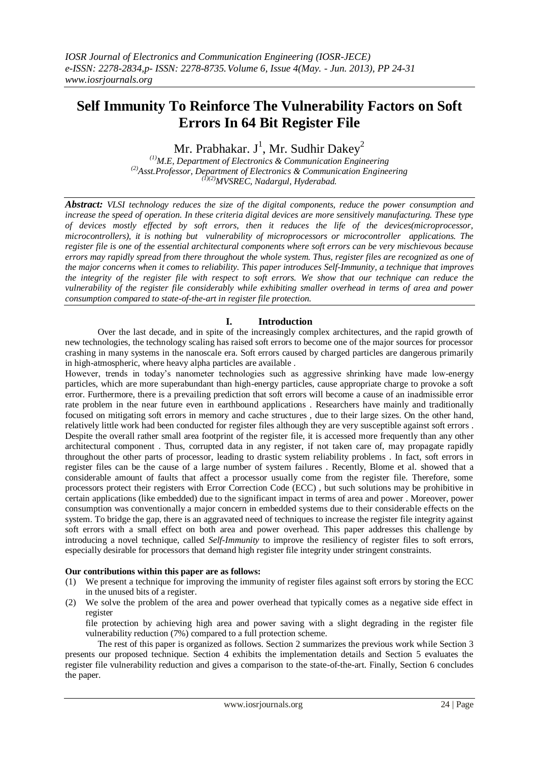# **Self Immunity To Reinforce The Vulnerability Factors on Soft Errors In 64 Bit Register File**

## Mr. Prabhakar. J $^1$ , Mr. Sudhir Dakey $^2$

*(1)M.E, Department of Electronics & Communication Engineering (2)Asst.Professor, Department of Electronics & Communication Engineering (1)(2)MVSREC, Nadargul, Hyderabad.*

*Abstract: VLSI technology reduces the size of the digital components, reduce the power consumption and increase the speed of operation. In these criteria digital devices are more sensitively manufacturing. These type of devices mostly effected by soft errors, then it reduces the life of the devices(microprocessor, microcontrollers), it is nothing but vulnerability of microprocessors or microcontroller applications. The register file is one of the essential architectural components where soft errors can be very mischievous because errors may rapidly spread from there throughout the whole system. Thus, register files are recognized as one of the major concerns when it comes to reliability. This paper introduces Self-Immunity, a technique that improves the integrity of the register file with respect to soft errors. We show that our technique can reduce the vulnerability of the register file considerably while exhibiting smaller overhead in terms of area and power consumption compared to state-of-the-art in register file protection.*

## **I. Introduction**

Over the last decade, and in spite of the increasingly complex architectures, and the rapid growth of new technologies, the technology scaling has raised soft errors to become one of the major sources for processor crashing in many systems in the nanoscale era. Soft errors caused by charged particles are dangerous primarily in high-atmospheric, where heavy alpha particles are available .

However, trends in today"s nanometer technologies such as aggressive shrinking have made low-energy particles, which are more superabundant than high-energy particles, cause appropriate charge to provoke a soft error. Furthermore, there is a prevailing prediction that soft errors will become a cause of an inadmissible error rate problem in the near future even in earthbound applications . Researchers have mainly and traditionally focused on mitigating soft errors in memory and cache structures , due to their large sizes. On the other hand, relatively little work had been conducted for register files although they are very susceptible against soft errors . Despite the overall rather small area footprint of the register file, it is accessed more frequently than any other architectural component . Thus, corrupted data in any register, if not taken care of, may propagate rapidly throughout the other parts of processor, leading to drastic system reliability problems . In fact, soft errors in register files can be the cause of a large number of system failures . Recently, Blome et al. showed that a considerable amount of faults that affect a processor usually come from the register file. Therefore, some processors protect their registers with Error Correction Code (ECC) , but such solutions may be prohibitive in certain applications (like embedded) due to the significant impact in terms of area and power . Moreover, power consumption was conventionally a major concern in embedded systems due to their considerable effects on the system. To bridge the gap, there is an aggravated need of techniques to increase the register file integrity against soft errors with a small effect on both area and power overhead. This paper addresses this challenge by introducing a novel technique, called *Self-Immunity* to improve the resiliency of register files to soft errors, especially desirable for processors that demand high register file integrity under stringent constraints.

## **Our contributions within this paper are as follows:**

- (1) We present a technique for improving the immunity of register files against soft errors by storing the ECC in the unused bits of a register.
- (2) We solve the problem of the area and power overhead that typically comes as a negative side effect in register

file protection by achieving high area and power saving with a slight degrading in the register file vulnerability reduction (7%) compared to a full protection scheme.

The rest of this paper is organized as follows. Section 2 summarizes the previous work while Section 3 presents our proposed technique. Section 4 exhibits the implementation details and Section 5 evaluates the register file vulnerability reduction and gives a comparison to the state-of-the-art. Finally, Section 6 concludes the paper.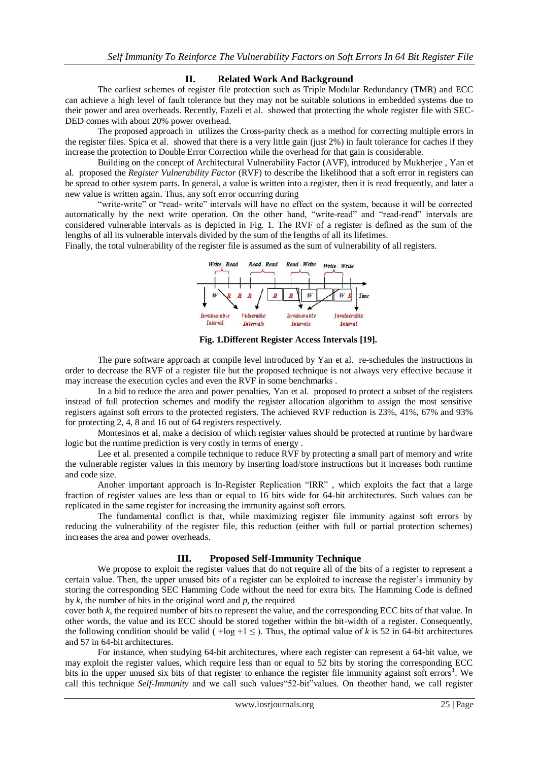## **II. Related Work And Background**

The earliest schemes of register file protection such as Triple Modular Redundancy (TMR) and ECC can achieve a high level of fault tolerance but they may not be suitable solutions in embedded systems due to their power and area overheads. Recently, Fazeli et al. showed that protecting the whole register file with SEC-DED comes with about 20% power overhead.

The proposed approach in utilizes the Cross-parity check as a method for correcting multiple errors in the register files. Spica et al. showed that there is a very little gain (just 2%) in fault tolerance for caches if they increase the protection to Double Error Correction while the overhead for that gain is considerable.

Building on the concept of Architectural Vulnerability Factor (AVF), introduced by Mukherjee , Yan et al. proposed the *Register Vulnerability Factor* (RVF) to describe the likelihood that a soft error in registers can be spread to other system parts. In general, a value is written into a register, then it is read frequently, and later a new value is written again. Thus, any soft error occurring during

"write-write" or "read- write" intervals will have no effect on the system, because it will be corrected automatically by the next write operation. On the other hand, "write-read" and "read-read" intervals are considered vulnerable intervals as is depicted in Fig. 1. The RVF of a register is defined as the sum of the lengths of all its vulnerable intervals divided by the sum of the lengths of all its lifetimes.

Finally, the total vulnerability of the register file is assumed as the sum of vulnerability of all registers.



**Fig. 1.Different Register Access Intervals [19].**

The pure software approach at compile level introduced by Yan et al. re-schedules the instructions in order to decrease the RVF of a register file but the proposed technique is not always very effective because it may increase the execution cycles and even the RVF in some benchmarks .

In a bid to reduce the area and power penalties, Yan et al. proposed to protect a subset of the registers instead of full protection schemes and modify the register allocation algorithm to assign the most sensitive registers against soft errors to the protected registers. The achieved RVF reduction is 23%, 41%, 67% and 93% for protecting 2, 4, 8 and 16 out of 64 registers respectively.

Montesinos et al, make a decision of which register values should be protected at runtime by hardware logic but the runtime prediction is very costly in terms of energy .

Lee et al. presented a compile technique to reduce RVF by protecting a small part of memory and write the vulnerable register values in this memory by inserting load/store instructions but it increases both runtime and code size.

Anoher important approach is In-Register Replication "IRR" , which exploits the fact that a large fraction of register values are less than or equal to 16 bits wide for 64-bit architectures. Such values can be replicated in the same register for increasing the immunity against soft errors.

The fundamental conflict is that, while maximizing register file immunity against soft errors by reducing the vulnerability of the register file, this reduction (either with full or partial protection schemes) increases the area and power overheads.

#### **III. Proposed Self-Immunity Technique**

We propose to exploit the register values that do not require all of the bits of a register to represent a certain value. Then, the upper unused bits of a register can be exploited to increase the register"s immunity by storing the corresponding SEC Hamming Code without the need for extra bits. The Hamming Code is defined by *k*, the number of bits in the original word and *p*, the required

cover both *k*, the required number of bits to represent the value, and the corresponding ECC bits of that value. In other words, the value and its ECC should be stored together within the bit-width of a register. Consequently, the following condition should be valid ( $+log +1 \leq$ ). Thus, the optimal value of *k* is 52 in 64-bit architectures and 57 in 64-bit architectures.

For instance, when studying 64-bit architectures, where each register can represent a 64-bit value, we may exploit the register values, which require less than or equal to 52 bits by storing the corresponding ECC bits in the upper unused six bits of that register to enhance the register file immunity against soft errors<sup>1</sup>. We call this technique *Self-Immunity* and we call such values"52-bit"values. On theother hand, we call register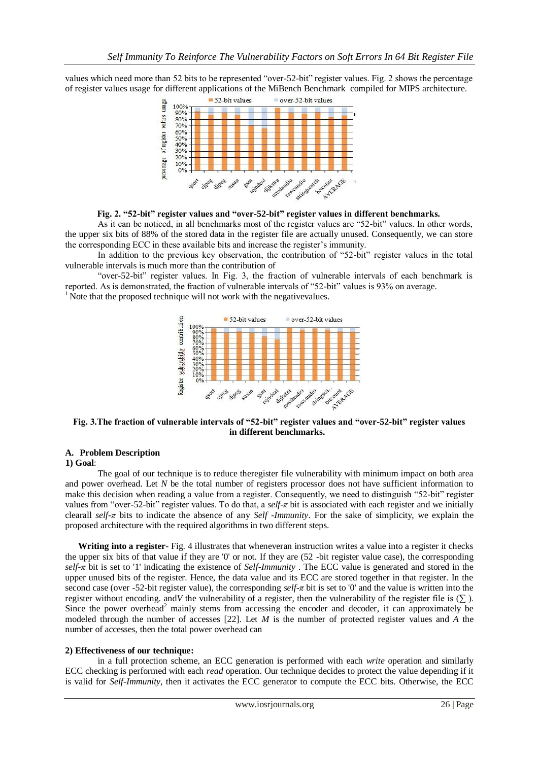values which need more than 52 bits to be represented "over-52-bit" register values. Fig. 2 shows the percentage of register values usage for different applications of the MiBench Benchmark compiled for MIPS architecture.



#### **Fig. 2. "52-bit" register values and "over-52-bit" register values in different benchmarks.**

As it can be noticed, in all benchmarks most of the register values are "52-bit" values. In other words, the upper six bits of 88% of the stored data in the register file are actually unused. Consequently, we can store the corresponding ECC in these available bits and increase the register"s immunity.

In addition to the previous key observation, the contribution of "52-bit" register values in the total vulnerable intervals is much more than the contribution of

"over-52-bit" register values. In Fig. 3, the fraction of vulnerable intervals of each benchmark is reported. As is demonstrated, the fraction of vulnerable intervals of "52-bit" values is 93% on average.  $1$  Note that the proposed technique will not work with the negativevalues.



**Fig. 3.The fraction of vulnerable intervals of "52-bit" register values and "over-52-bit" register values in different benchmarks.**

#### **A. Problem Description**

**1) Goal**:

 The goal of our technique is to reduce theregister file vulnerability with minimum impact on both area and power overhead. Let *N* be the total number of registers processor does not have sufficient information to make this decision when reading a value from a register. Consequently, we need to distinguish "52-bit" register values from "over-52-bit" register values. To do that, a *self-π* bit is associated with each register and we initially clearall *self-π* bits to indicate the absence of any *Self -Immunity*. For the sake of simplicity, we explain the proposed architecture with the required algorithms in two different steps.

**Writing into a register**- Fig. 4 illustrates that wheneveran instruction writes a value into a register it checks the upper six bits of that value if they are '0' or not. If they are (52 -bit register value case), the corresponding *self-π* bit is set to '1' indicating the existence of *Self-Immunity* . The ECC value is generated and stored in the upper unused bits of the register. Hence, the data value and its ECC are stored together in that register. In the second case (over -52-bit register value), the corresponding *self-π* bit is set to '0' and the value is written into the register without encoding. and*V* the vulnerability of a register, then the vulnerability of the register file is  $(\Sigma)$ . Since the power overhead<sup>2</sup> mainly stems from accessing the encoder and decoder, it can approximately be modeled through the number of accesses [22]. Let *M* is the number of protected register values and *A* the number of accesses, then the total power overhead can

#### **2) Effectiveness of our technique:**

in a full protection scheme, an ECC generation is performed with each *write* operation and similarly ECC checking is performed with each *read* operation. Our technique decides to protect the value depending if it is valid for *Self-Immunity*, then it activates the ECC generator to compute the ECC bits. Otherwise, the ECC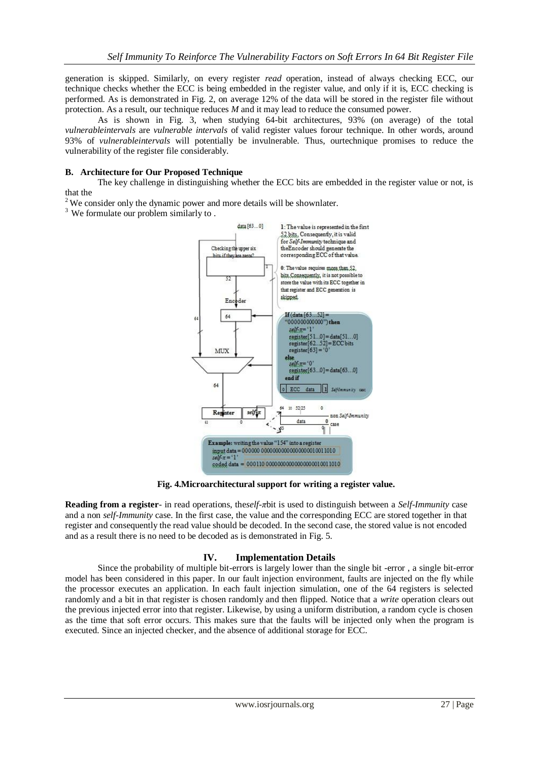generation is skipped. Similarly, on every register *read* operation, instead of always checking ECC, our technique checks whether the ECC is being embedded in the register value, and only if it is, ECC checking is performed. As is demonstrated in Fig. 2, on average 12% of the data will be stored in the register file without protection. As a result, our technique reduces *M* and it may lead to reduce the consumed power.

As is shown in Fig. 3, when studying 64-bit architectures, 93% (on average) of the total *vulnerableintervals* are *vulnerable intervals* of valid register values forour technique. In other words, around 93% of *vulnerableintervals* will potentially be invulnerable. Thus, ourtechnique promises to reduce the vulnerability of the register file considerably.

### **B. Architecture for Our Proposed Technique**

The key challenge in distinguishing whether the ECC bits are embedded in the register value or not, is that the

<sup>2</sup> We consider only the dynamic power and more details will be shownlater.

 $3$  We formulate our problem similarly to .



**Fig. 4.Microarchitectural support for writing a register value.**

**Reading from a register**- in read operations, the*self-π*bit is used to distinguish between a *Self-Immunity* case and a non *self-Immunity* case. In the first case, the value and the corresponding ECC are stored together in that register and consequently the read value should be decoded. In the second case, the stored value is not encoded and as a result there is no need to be decoded as is demonstrated in Fig. 5.

## **IV. Implementation Details**

Since the probability of multiple bit-errors is largely lower than the single bit -error , a single bit-error model has been considered in this paper. In our fault injection environment, faults are injected on the fly while the processor executes an application. In each fault injection simulation, one of the 64 registers is selected randomly and a bit in that register is chosen randomly and then flipped. Notice that a *write* operation clears out the previous injected error into that register. Likewise, by using a uniform distribution, a random cycle is chosen as the time that soft error occurs. This makes sure that the faults will be injected only when the program is executed. Since an injected checker, and the absence of additional storage for ECC.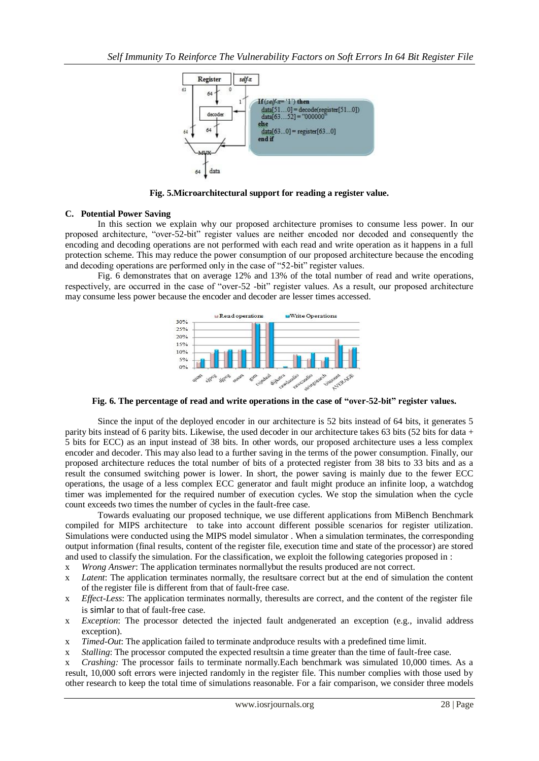

**Fig. 5.Microarchitectural support for reading a register value.**

#### **C. Potential Power Saving**

In this section we explain why our proposed architecture promises to consume less power. In our proposed architecture, "over-52-bit" register values are neither encoded nor decoded and consequently the encoding and decoding operations are not performed with each read and write operation as it happens in a full protection scheme. This may reduce the power consumption of our proposed architecture because the encoding and decoding operations are performed only in the case of "52-bit" register values.

Fig. 6 demonstrates that on average 12% and 13% of the total number of read and write operations, respectively, are occurred in the case of "over-52 -bit" register values. As a result, our proposed architecture may consume less power because the encoder and decoder are lesser times accessed.



**Fig. 6. The percentage of read and write operations in the case of "over-52-bit" register values.**

Since the input of the deployed encoder in our architecture is 52 bits instead of 64 bits, it generates 5 parity bits instead of 6 parity bits. Likewise, the used decoder in our architecture takes 63 bits (52 bits for data + 5 bits for ECC) as an input instead of 38 bits. In other words, our proposed architecture uses a less complex encoder and decoder. This may also lead to a further saving in the terms of the power consumption. Finally, our proposed architecture reduces the total number of bits of a protected register from 38 bits to 33 bits and as a result the consumed switching power is lower. In short, the power saving is mainly due to the fewer ECC operations, the usage of a less complex ECC generator and fault might produce an infinite loop, a watchdog timer was implemented for the required number of execution cycles. We stop the simulation when the cycle count exceeds two times the number of cycles in the fault-free case.

Towards evaluating our proposed technique, we use different applications from MiBench Benchmark compiled for MIPS architecture to take into account different possible scenarios for register utilization. Simulations were conducted using the MIPS model simulator . When a simulation terminates, the corresponding output information (final results, content of the register file, execution time and state of the processor) are stored and used to classify the simulation. For the classification, we exploit the following categories proposed in :

- x *Wrong Answer*: The application terminates normallybut the results produced are not correct.
- x *Latent*: The application terminates normally, the resultsare correct but at the end of simulation the content of the register file is different from that of fault-free case.
- x *Effect-Less*: The application terminates normally, theresults are correct, and the content of the register file is simlar to that of fault-free case.
- x *Exception*: The processor detected the injected fault andgenerated an exception (e.g., invalid address exception).
- x *Timed-Out*: The application failed to terminate andproduce results with a predefined time limit.
- x *Stalling*: The processor computed the expected resultsin a time greater than the time of fault-free case.

x *Crashing:* The processor fails to terminate normally.Each benchmark was simulated 10,000 times. As a result, 10,000 soft errors were injected randomly in the register file. This number complies with those used by other research to keep the total time of simulations reasonable. For a fair comparison, we consider three models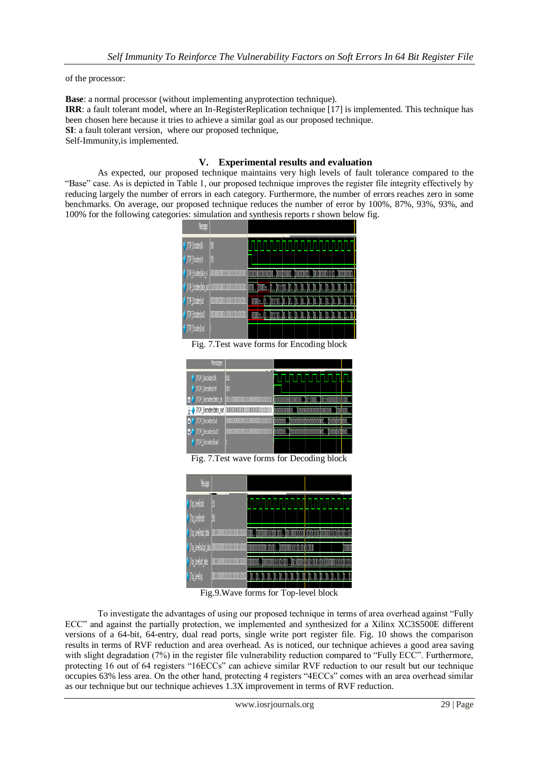of the processor:

**Base**: a normal processor (without implementing anyprotection technique). **IRR**: a fault tolerant model, where an In-RegisterReplication technique [17] is implemented. This technique has been chosen here because it tries to achieve a similar goal as our proposed technique. **SI**: a fault tolerant version, where our proposed technique, Self-Immunity*,*is implemented.

## **V. Experimental results and evaluation**

As expected, our proposed technique maintains very high levels of fault tolerance compared to the "Base" case. As is depicted in Table 1, our proposed technique improves the register file integrity effectively by reducing largely the number of errors in each category. Furthermore, the number of errors reaches zero in some benchmarks. On average, our proposed technique reduces the number of error by 100%, 87%, 93%, 93%, and 100% for the following categories: simulation and synthesis reports r shown below fig.



Fig. 7.Test wave forms for Encoding block

| Messages                               |                                 |                                        |     |
|----------------------------------------|---------------------------------|----------------------------------------|-----|
| /TOP_Decoder/dk                        | - 11<br>50                      |                                        |     |
| /TOP_Decoder/rst                       | 90                              |                                        |     |
| <b>H-V</b> /TOP_Decoder/data_in        |                                 | 00110000                               | 100 |
| /TOP_Decoder/data_out                  | 0000000000001010000000010101010 | 0000000000000000000000<br>000000000000 |     |
| <b>H-<sup>4</sup></b> /TOP_Decoder/out |                                 |                                        |     |
| $\mathbb{H}$ /TOP_Decoder/out3         |                                 |                                        |     |
| /TOP_Decoder/load                      |                                 |                                        |     |
|                                        |                                 |                                        |     |

Fig. 7.Test wave forms for Decoding block



Fig.9.Wave forms for Top-level block

To investigate the advantages of using our proposed technique in terms of area overhead against "Fully ECC" and against the partially protection, we implemented and synthesized for a Xilinx XC3S500E different versions of a 64-bit, 64-entry, dual read ports, single write port register file. Fig. 10 shows the comparison results in terms of RVF reduction and area overhead. As is noticed, our technique achieves a good area saving with slight degradation (7%) in the register file vulnerability reduction compared to "Fully ECC". Furthermore, protecting 16 out of 64 registers "16ECCs" can achieve similar RVF reduction to our result but our technique occupies 63% less area. On the other hand, protecting 4 registers "4ECCs" comes with an area overhead similar as our technique but our technique achieves 1.3X improvement in terms of RVF reduction.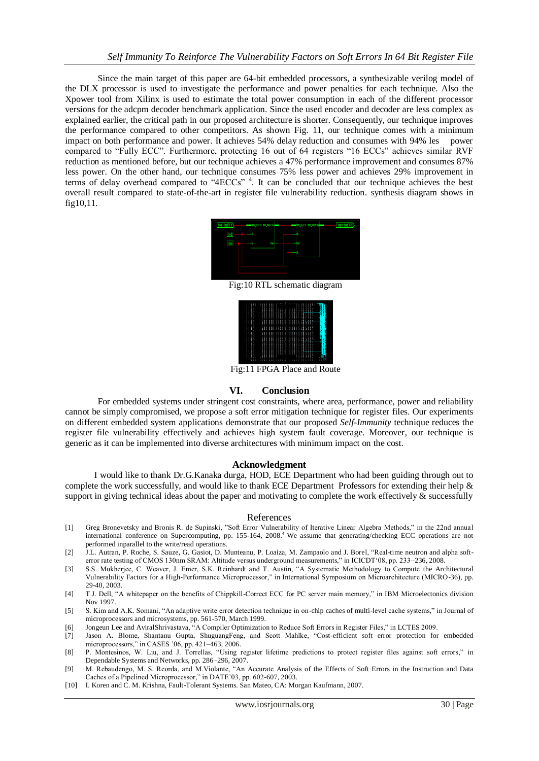Since the main target of this paper are 64-bit embedded processors, a synthesizable verilog model of the DLX processor is used to investigate the performance and power penalties for each technique. Also the Xpower tool from Xilinx is used to estimate the total power consumption in each of the different processor versions for the adcpm decoder benchmark application. Since the used encoder and decoder are less complex as explained earlier, the critical path in our proposed architecture is shorter. Consequently, our technique improves the performance compared to other competitors. As shown Fig. 11, our technique comes with a minimum impact on both performance and power. It achieves 54% delay reduction and consumes with 94% les power compared to "Fully ECC". Furthermore, protecting 16 out of 64 registers "16 ECCs" achieves similar RVF reduction as mentioned before, but our technique achieves a 47% performance improvement and consumes 87% less power. On the other hand, our technique consumes 75% less power and achieves 29% improvement in terms of delay overhead compared to "4ECCs"<sup>4</sup>. It can be concluded that our technique achieves the best overall result compared to state-of-the-art in register file vulnerability reduction. synthesis diagram shows in fig10,11.





Fig:11 FPGA Place and Route

## **VI. Conclusion**

For embedded systems under stringent cost constraints, where area, performance, power and reliability cannot be simply compromised, we propose a soft error mitigation technique for register files. Our experiments on different embedded system applications demonstrate that our proposed *Self-Immunity* technique reduces the register file vulnerability effectively and achieves high system fault coverage. Moreover, our technique is generic as it can be implemented into diverse architectures with minimum impact on the cost.

#### **Acknowledgment**

 I would like to thank Dr.G.Kanaka durga, HOD, ECE Department who had been guiding through out to complete the work successfully, and would like to thank ECE Department Professors for extending their help & support in giving technical ideas about the paper and motivating to complete the work effectively  $\&$  successfully

#### References

- [1] Greg Bronevetsky and Bronis R. de Supinski, "Soft Error Vulnerability of Iterative Linear Algebra Methods," in the 22nd annual international conference on Supercomputing, pp. 155-164, 2008.<sup>4</sup> We assume that generating/checking ECC operations are not performed inparallel to the write/read operations.
- [2] J.L. Autran, P. Roche, S. Sauze, G. Gasiot, D. Munteanu, P. Loaiza, M. Zampaolo and J. Borel, "Real-time neutron and alpha softerror rate testing of CMOS 130nm SRAM: Altitude versus underground measurements," in ICICDT"08, pp. 233–236, 2008.
- [3] S.S. Mukherjee, C. Weaver, J. Emer, S.K. Reinhardt and T. Austin, "A Systematic Methodology to Compute the Architectural Vulnerability Factors for a High-Performance Microprocessor," in International Symposium on Microarchitecture (MICRO-36), pp. 29-40, 2003.
- [4] T.J. Dell, "A whitepaper on the benefits of Chippkill-Correct ECC for PC server main memory," in IBM Microelectonics division Nov 1997.
- [5] S. Kim and A.K. Somani, "An adaptive write error detection technique in on-chip caches of multi-level cache systems," in Journal of microprocessors and microsystems, pp. 561-570, March 1999.
- [6] Jongeun Lee and AviralShrivastava, "A Compiler Optimization to Reduce Soft Errors in Register Files," in LCTES 2009.
- [7] Jason A. Blome, Shantanu Gupta, ShuguangFeng, and Scott Mahlke, "Cost-efficient soft error protection for embedded microprocessors," in CASES "06, pp. 421–463, 2006.
- [8] P. Montesinos, W. Liu, and J. Torrellas, "Using register lifetime predictions to protect register files against soft errors," in Dependable Systems and Networks, pp. 286–296, 2007.
- [9] M. Rebaudengo, M. S. Reorda, and M.Violante, "An Accurate Analysis of the Effects of Soft Errors in the Instruction and Data Caches of a Pipelined Microprocessor," in DATE"03, pp. 602-607, 2003.
- [10] I. Koren and C. M. Krishna, Fault-Tolerant Systems. San Mateo, CA: Morgan Kaufmann, 2007.